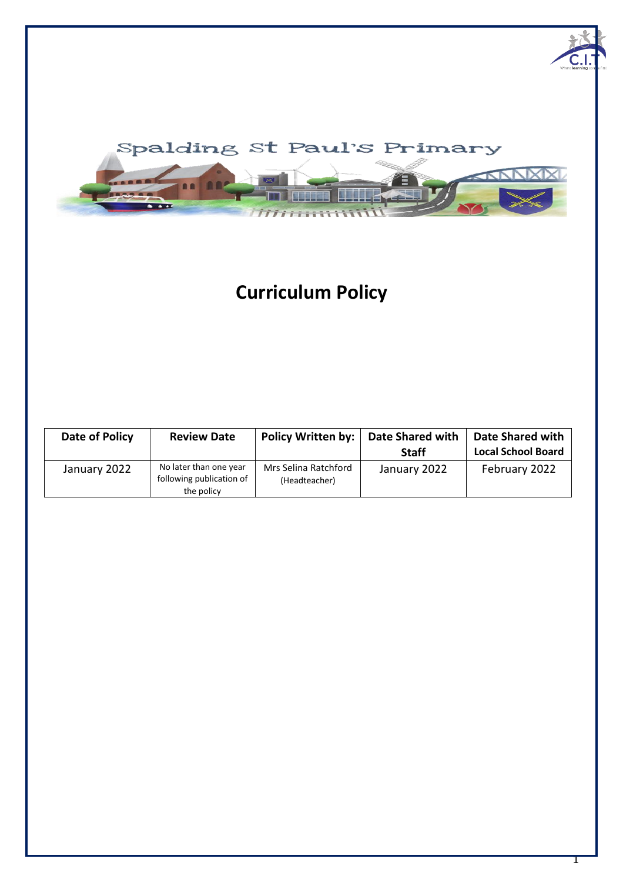

# **Curriculum Policy**

| Date of Policy | <b>Review Date</b>                                               | <b>Policy Written by:</b>             | <b>Date Shared with</b><br><b>Staff</b> | Date Shared with<br><b>Local School Board</b> |
|----------------|------------------------------------------------------------------|---------------------------------------|-----------------------------------------|-----------------------------------------------|
| January 2022   | No later than one year<br>following publication of<br>the policy | Mrs Selina Ratchford<br>(Headteacher) | January 2022                            | February 2022                                 |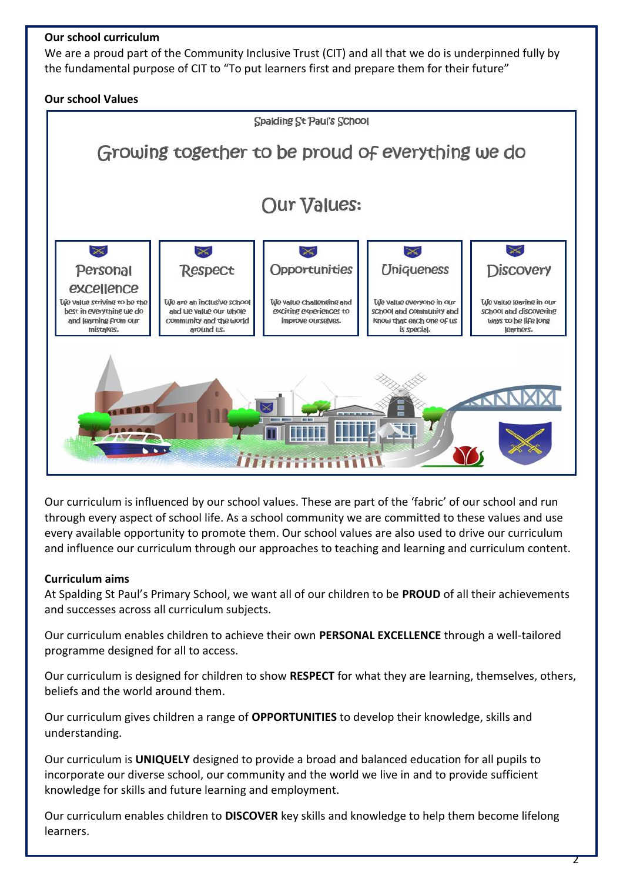### **Our school curriculum**

We are a proud part of the Community Inclusive Trust (CIT) and all that we do is underpinned fully by the fundamental purpose of CIT to "To put learners first and prepare them for their future"

### **Our school Values**



Our curriculum is influenced by our school values. These are part of the 'fabric' of our school and run through every aspect of school life. As a school community we are committed to these values and use every available opportunity to promote them. Our school values are also used to drive our curriculum and influence our curriculum through our approaches to teaching and learning and curriculum content.

### **Curriculum aims**

At Spalding St Paul's Primary School, we want all of our children to be **PROUD** of all their achievements and successes across all curriculum subjects.

Our curriculum enables children to achieve their own **PERSONAL EXCELLENCE** through a well-tailored programme designed for all to access.

Our curriculum is designed for children to show **RESPECT** for what they are learning, themselves, others, beliefs and the world around them.

Our curriculum gives children a range of **OPPORTUNITIES** to develop their knowledge, skills and understanding.

Our curriculum is **UNIQUELY** designed to provide a broad and balanced education for all pupils to incorporate our diverse school, our community and the world we live in and to provide sufficient knowledge for skills and future learning and employment.

Our curriculum enables children to **DISCOVER** key skills and knowledge to help them become lifelong learners.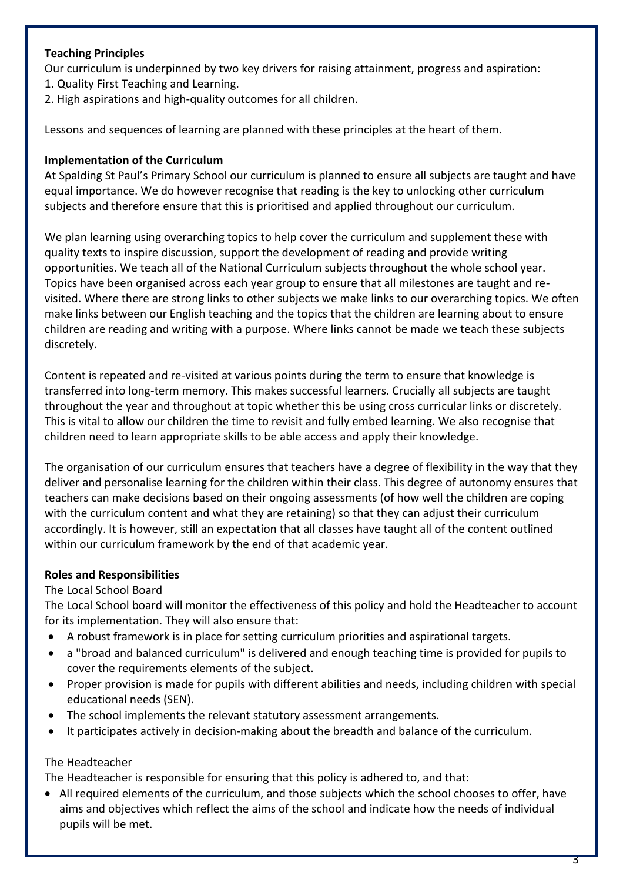## **Teaching Principles**

Our curriculum is underpinned by two key drivers for raising attainment, progress and aspiration: 1. Quality First Teaching and Learning.

- 
- 2. High aspirations and high-quality outcomes for all children.

Lessons and sequences of learning are planned with these principles at the heart of them.

### **Implementation of the Curriculum**

At Spalding St Paul's Primary School our curriculum is planned to ensure all subjects are taught and have equal importance. We do however recognise that reading is the key to unlocking other curriculum subjects and therefore ensure that this is prioritised and applied throughout our curriculum.

We plan learning using overarching topics to help cover the curriculum and supplement these with quality texts to inspire discussion, support the development of reading and provide writing opportunities. We teach all of the National Curriculum subjects throughout the whole school year. Topics have been organised across each year group to ensure that all milestones are taught and revisited. Where there are strong links to other subjects we make links to our overarching topics. We often make links between our English teaching and the topics that the children are learning about to ensure children are reading and writing with a purpose. Where links cannot be made we teach these subjects discretely.

Content is repeated and re-visited at various points during the term to ensure that knowledge is transferred into long-term memory. This makes successful learners. Crucially all subjects are taught throughout the year and throughout at topic whether this be using cross curricular links or discretely. This is vital to allow our children the time to revisit and fully embed learning. We also recognise that children need to learn appropriate skills to be able access and apply their knowledge.

The organisation of our curriculum ensures that teachers have a degree of flexibility in the way that they deliver and personalise learning for the children within their class. This degree of autonomy ensures that teachers can make decisions based on their ongoing assessments (of how well the children are coping with the curriculum content and what they are retaining) so that they can adjust their curriculum accordingly. It is however, still an expectation that all classes have taught all of the content outlined within our curriculum framework by the end of that academic year.

### **Roles and Responsibilities**

### The Local School Board

The Local School board will monitor the effectiveness of this policy and hold the Headteacher to account for its implementation. They will also ensure that:

- A robust framework is in place for setting curriculum priorities and aspirational targets.
- a "broad and balanced curriculum" is delivered and enough teaching time is provided for pupils to cover the requirements elements of the subject.
- Proper provision is made for pupils with different abilities and needs, including children with special educational needs (SEN).
- The school implements the relevant statutory assessment arrangements.
- It participates actively in decision-making about the breadth and balance of the curriculum.

### The Headteacher

The Headteacher is responsible for ensuring that this policy is adhered to, and that:

• All required elements of the curriculum, and those subjects which the school chooses to offer, have aims and objectives which reflect the aims of the school and indicate how the needs of individual pupils will be met.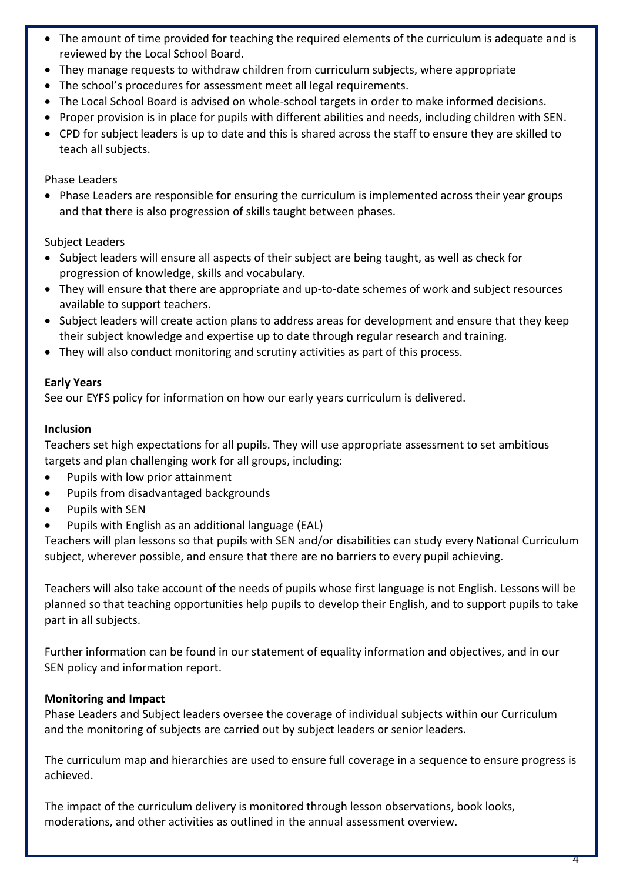- The amount of time provided for teaching the required elements of the curriculum is adequate and is reviewed by the Local School Board.
- They manage requests to withdraw children from curriculum subjects, where appropriate
- The school's procedures for assessment meet all legal requirements.
- The Local School Board is advised on whole-school targets in order to make informed decisions.
- Proper provision is in place for pupils with different abilities and needs, including children with SEN.
- CPD for subject leaders is up to date and this is shared across the staff to ensure they are skilled to teach all subjects.

#### Phase Leaders

• Phase Leaders are responsible for ensuring the curriculum is implemented across their year groups and that there is also progression of skills taught between phases.

### Subject Leaders

- Subject leaders will ensure all aspects of their subject are being taught, as well as check for progression of knowledge, skills and vocabulary.
- They will ensure that there are appropriate and up-to-date schemes of work and subject resources available to support teachers.
- Subject leaders will create action plans to address areas for development and ensure that they keep their subject knowledge and expertise up to date through regular research and training.
- They will also conduct monitoring and scrutiny activities as part of this process.

### **Early Years**

See our EYFS policy for information on how our early years curriculum is delivered.

#### **Inclusion**

Teachers set high expectations for all pupils. They will use appropriate assessment to set ambitious targets and plan challenging work for all groups, including:

- Pupils with low prior attainment
- Pupils from disadvantaged backgrounds
- Pupils with SEN
- Pupils with English as an additional language (EAL)

Teachers will plan lessons so that pupils with SEN and/or disabilities can study every National Curriculum subject, wherever possible, and ensure that there are no barriers to every pupil achieving.

Teachers will also take account of the needs of pupils whose first language is not English. Lessons will be planned so that teaching opportunities help pupils to develop their English, and to support pupils to take part in all subjects.

Further information can be found in our statement of equality information and objectives, and in our SEN policy and information report.

### **Monitoring and Impact**

Phase Leaders and Subject leaders oversee the coverage of individual subjects within our Curriculum and the monitoring of subjects are carried out by subject leaders or senior leaders.

The curriculum map and hierarchies are used to ensure full coverage in a sequence to ensure progress is achieved.

The impact of the curriculum delivery is monitored through lesson observations, book looks, moderations, and other activities as outlined in the annual assessment overview.